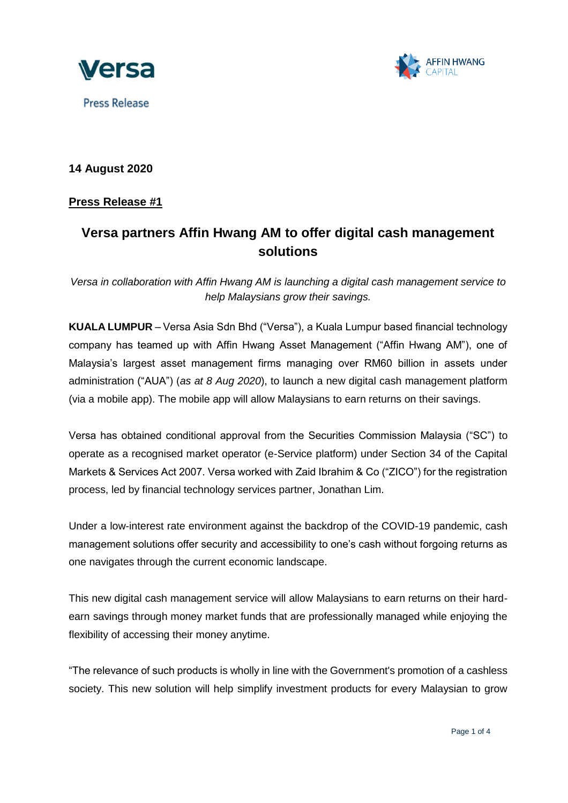





## **14 August 2020**

### **Press Release #1**

# **Versa partners Affin Hwang AM to offer digital cash management solutions**

*Versa in collaboration with Affin Hwang AM is launching a digital cash management service to help Malaysians grow their savings.*

**KUALA LUMPUR** – Versa Asia Sdn Bhd ("Versa"), a Kuala Lumpur based financial technology company has teamed up with Affin Hwang Asset Management ("Affin Hwang AM"), one of Malaysia's largest asset management firms managing over RM60 billion in assets under administration ("AUA") (*as at 8 Aug 2020*), to launch a new digital cash management platform (via a mobile app). The mobile app will allow Malaysians to earn returns on their savings.

Versa has obtained conditional approval from the Securities Commission Malaysia ("SC") to operate as a recognised market operator (e-Service platform) under Section 34 of the Capital Markets & Services Act 2007. Versa worked with Zaid Ibrahim & Co ("ZICO") for the registration process, led by financial technology services partner, Jonathan Lim.

Under a low-interest rate environment against the backdrop of the COVID-19 pandemic, cash management solutions offer security and accessibility to one's cash without forgoing returns as one navigates through the current economic landscape.

This new digital cash management service will allow Malaysians to earn returns on their hardearn savings through money market funds that are professionally managed while enjoying the flexibility of accessing their money anytime.

"The relevance of such products is wholly in line with the Government's promotion of a cashless society. This new solution will help simplify investment products for every Malaysian to grow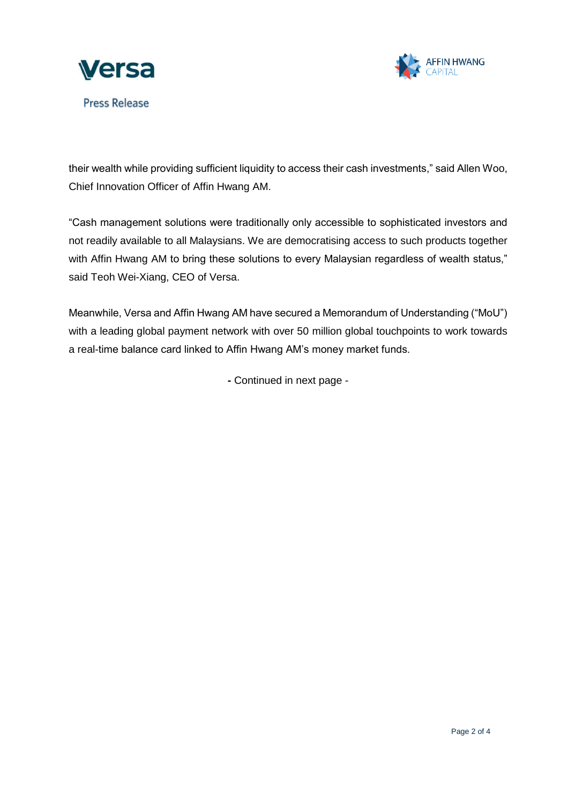



their wealth while providing sufficient liquidity to access their cash investments," said Allen Woo, Chief Innovation Officer of Affin Hwang AM.

"Cash management solutions were traditionally only accessible to sophisticated investors and not readily available to all Malaysians. We are democratising access to such products together with Affin Hwang AM to bring these solutions to every Malaysian regardless of wealth status," said Teoh Wei-Xiang, CEO of Versa.

Meanwhile, Versa and Affin Hwang AM have secured a Memorandum of Understanding ("MoU") with a leading global payment network with over 50 million global touchpoints to work towards a real-time balance card linked to Affin Hwang AM's money market funds.

**-** Continued in next page -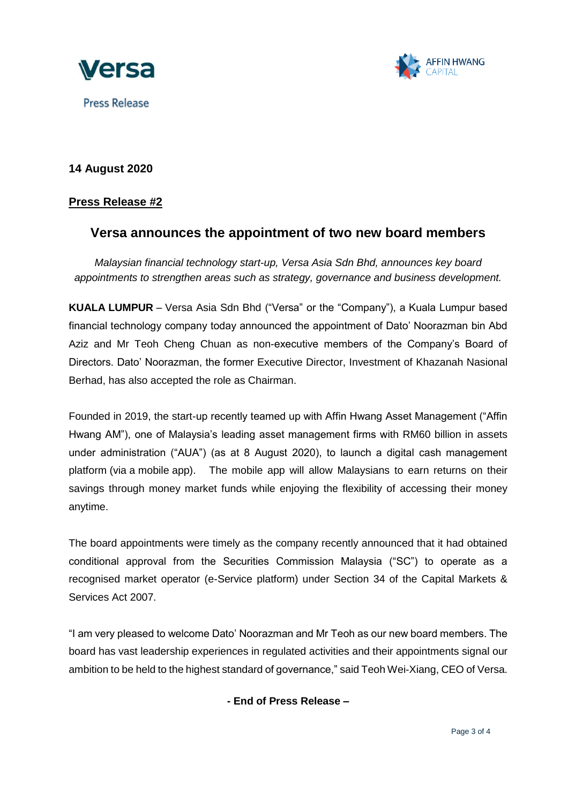



# **14 August 2020**

## **Press Release #2**

# **Versa announces the appointment of two new board members**

*Malaysian financial technology start-up, Versa Asia Sdn Bhd, announces key board appointments to strengthen areas such as strategy, governance and business development.*

**KUALA LUMPUR** – Versa Asia Sdn Bhd ("Versa" or the "Company"), a Kuala Lumpur based financial technology company today announced the appointment of Dato' Noorazman bin Abd Aziz and Mr Teoh Cheng Chuan as non-executive members of the Company's Board of Directors. Dato' Noorazman, the former Executive Director, Investment of Khazanah Nasional Berhad, has also accepted the role as Chairman.

Founded in 2019, the start-up recently teamed up with Affin Hwang Asset Management ("Affin Hwang AM"), one of Malaysia's leading asset management firms with RM60 billion in assets under administration ("AUA") (as at 8 August 2020), to launch a digital cash management platform (via a mobile app). The mobile app will allow Malaysians to earn returns on their savings through money market funds while enjoying the flexibility of accessing their money anytime.

The board appointments were timely as the company recently announced that it had obtained conditional approval from the Securities Commission Malaysia ("SC") to operate as a recognised market operator (e-Service platform) under Section 34 of the Capital Markets & Services Act 2007.

"I am very pleased to welcome Dato' Noorazman and Mr Teoh as our new board members. The board has vast leadership experiences in regulated activities and their appointments signal our ambition to be held to the highest standard of governance," said Teoh Wei-Xiang, CEO of Versa.

**- End of Press Release –**